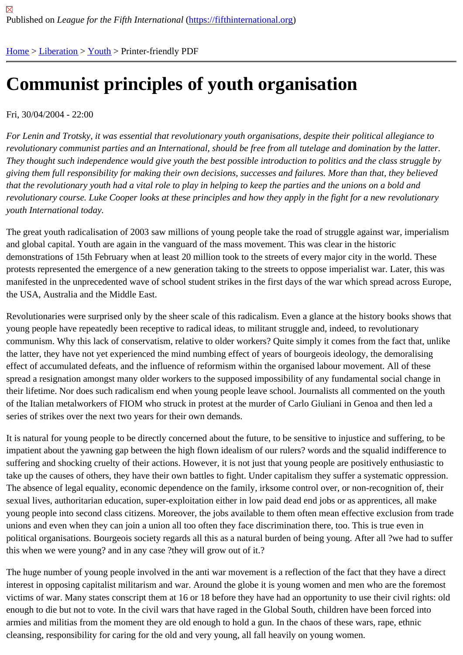# [Co](https://fifthinternational.org/)[mmun](https://fifthinternational.org/category/10)i[st p](https://fifthinternational.org/category/10/333)rinciples of youth organisation

#### Fri, 30/04/2004 - 22:00

For Lenin and Trotsky, it was essential that revolutionary youth organisations, despite their political allegiance to revolutionary communist parties and an International, should be free from all tutelage and domination by the latter. They thought such independence would give youth the best possible introduction to politics and the class struggle giving them full responsibility for making their own decisions, successes and failures. More than that, they believed that the revolutionary youth had a vital role to play in helping to keep the parties and the unions on a bold and revolutionary course. Luke Cooper looks at these principles and how they apply in the fight for a new revolutionary youth International today.

The great youth radicalisation of 2003 saw millions of young people take the road of struggle against war, imperial and global capital. Youth are again in the vanguard of the mass movement. This was clear in the historic demonstrations of 15th February when at least 20 million took to the streets of every major city in the world. These protests represented the emergence of a new generation taking to the streets to oppose imperialist war. Later, this manifested in the unprecedented wave of school student strikes in the first days of the war which spread across E the USA, Australia and the Middle East.

Revolutionaries were surprised only by the sheer scale of this radicalism. Even a glance at the history books show young people have repeatedly been receptive to radical ideas, to militant struggle and, indeed, to revolutionary communism. Why this lack of conservatism, relative to older workers? Quite simply it comes from the fact that, unl the latter, they have not yet experienced the mind numbing effect of years of bourgeois ideology, the demoralising effect of accumulated defeats, and the influence of reformism within the organised labour movement. All of these spread a resignation amongst many older workers to the supposed impossibility of any fundamental social change their lifetime. Nor does such radicalism end when young people leave school. Journalists all commented on the yo of the Italian metalworkers of FIOM who struck in protest at the murder of Carlo Giuliani in Genoa and then led a series of strikes over the next two years for their own demands.

It is natural for young people to be directly concerned about the future, to be sensitive to injustice and suffering, to impatient about the yawning gap between the high flown idealism of our rulers? words and the squalid indifference suffering and shocking cruelty of their actions. However, it is not just that young people are positively enthusiastic take up the causes of others, they have their own battles to fight. Under capitalism they suffer a systematic oppres The absence of legal equality, economic dependence on the family, irksome control over, or non-recognition of, th sexual lives, authoritarian education, super-exploitation either in low paid dead end jobs or as apprentices, all mak young people into second class citizens. Moreover, the jobs available to them often mean effective exclusion from unions and even when they can join a union all too often they face discrimination there, too. This is true even in political organisations. Bourgeois society regards all this as a natural burden of being young. After all ?we had to s this when we were young? and in any case ?they will grow out of it.?

The huge number of young people involved in the anti war movement is a reflection of the fact that they have a dir interest in opposing capitalist militarism and war. Around the globe it is young women and men who are the forem victims of war. Many states conscript them at 16 or 18 before they have had an opportunity to use their civil rights: enough to die but not to vote. In the civil wars that have raged in the Global South, children have been forced into armies and militias from the moment they are old enough to hold a gun. In the chaos of these wars, rape, ethnic cleansing, responsibility for caring for the old and very young, all fall heavily on young women.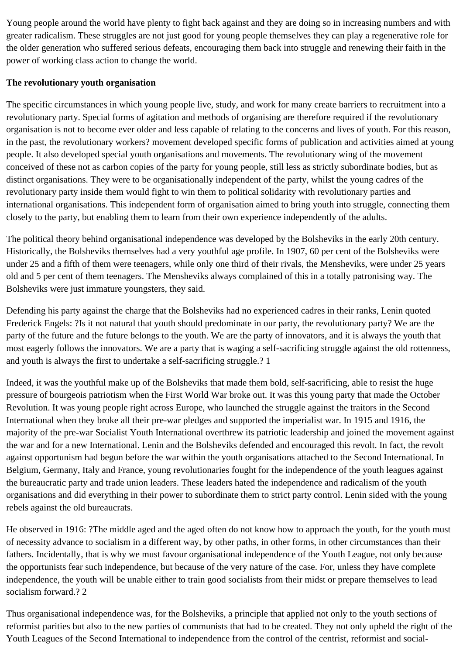Young people around the world have plenty to fight back against and they are doing so in increasing numbers and with greater radicalism. These struggles are not just good for young people themselves they can play a regenerative role for the older generation who suffered serious defeats, encouraging them back into struggle and renewing their faith in the power of working class action to change the world.

### **The revolutionary youth organisation**

The specific circumstances in which young people live, study, and work for many create barriers to recruitment into a revolutionary party. Special forms of agitation and methods of organising are therefore required if the revolutionary organisation is not to become ever older and less capable of relating to the concerns and lives of youth. For this reason, in the past, the revolutionary workers? movement developed specific forms of publication and activities aimed at young people. It also developed special youth organisations and movements. The revolutionary wing of the movement conceived of these not as carbon copies of the party for young people, still less as strictly subordinate bodies, but as distinct organisations. They were to be organisationally independent of the party, whilst the young cadres of the revolutionary party inside them would fight to win them to political solidarity with revolutionary parties and international organisations. This independent form of organisation aimed to bring youth into struggle, connecting them closely to the party, but enabling them to learn from their own experience independently of the adults.

The political theory behind organisational independence was developed by the Bolsheviks in the early 20th century. Historically, the Bolsheviks themselves had a very youthful age profile. In 1907, 60 per cent of the Bolsheviks were under 25 and a fifth of them were teenagers, while only one third of their rivals, the Mensheviks, were under 25 years old and 5 per cent of them teenagers. The Mensheviks always complained of this in a totally patronising way. The Bolsheviks were just immature youngsters, they said.

Defending his party against the charge that the Bolsheviks had no experienced cadres in their ranks, Lenin quoted Frederick Engels: ?Is it not natural that youth should predominate in our party, the revolutionary party? We are the party of the future and the future belongs to the youth. We are the party of innovators, and it is always the youth that most eagerly follows the innovators. We are a party that is waging a self-sacrificing struggle against the old rottenness, and youth is always the first to undertake a self-sacrificing struggle.? 1

Indeed, it was the youthful make up of the Bolsheviks that made them bold, self-sacrificing, able to resist the huge pressure of bourgeois patriotism when the First World War broke out. It was this young party that made the October Revolution. It was young people right across Europe, who launched the struggle against the traitors in the Second International when they broke all their pre-war pledges and supported the imperialist war. In 1915 and 1916, the majority of the pre-war Socialist Youth International overthrew its patriotic leadership and joined the movement against the war and for a new International. Lenin and the Bolsheviks defended and encouraged this revolt. In fact, the revolt against opportunism had begun before the war within the youth organisations attached to the Second International. In Belgium, Germany, Italy and France, young revolutionaries fought for the independence of the youth leagues against the bureaucratic party and trade union leaders. These leaders hated the independence and radicalism of the youth organisations and did everything in their power to subordinate them to strict party control. Lenin sided with the young rebels against the old bureaucrats.

He observed in 1916: ?The middle aged and the aged often do not know how to approach the youth, for the youth must of necessity advance to socialism in a different way, by other paths, in other forms, in other circumstances than their fathers. Incidentally, that is why we must favour organisational independence of the Youth League, not only because the opportunists fear such independence, but because of the very nature of the case. For, unless they have complete independence, the youth will be unable either to train good socialists from their midst or prepare themselves to lead socialism forward.? 2

Thus organisational independence was, for the Bolsheviks, a principle that applied not only to the youth sections of reformist parities but also to the new parties of communists that had to be created. They not only upheld the right of the Youth Leagues of the Second International to independence from the control of the centrist, reformist and social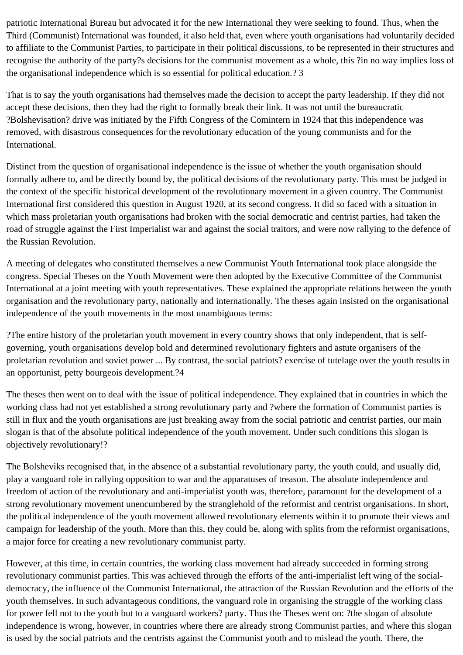patriotic International Bureau but advocated it for the new International they were seeking to found. Thus, when the Third (Communist) International was founded, it also held that, even where youth organisations had voluntarily decided to affiliate to the Communist Parties, to participate in their political discussions, to be represented in their structures and recognise the authority of the party?s decisions for the communist movement as a whole, this ?in no way implies loss of the organisational independence which is so essential for political education.? 3

That is to say the youth organisations had themselves made the decision to accept the party leadership. If they did not accept these decisions, then they had the right to formally break their link. It was not until the bureaucratic ?Bolshevisation? drive was initiated by the Fifth Congress of the Comintern in 1924 that this independence was removed, with disastrous consequences for the revolutionary education of the young communists and for the International.

Distinct from the question of organisational independence is the issue of whether the youth organisation should formally adhere to, and be directly bound by, the political decisions of the revolutionary party. This must be judged in the context of the specific historical development of the revolutionary movement in a given country. The Communist International first considered this question in August 1920, at its second congress. It did so faced with a situation in which mass proletarian youth organisations had broken with the social democratic and centrist parties, had taken the road of struggle against the First Imperialist war and against the social traitors, and were now rallying to the defence of the Russian Revolution.

A meeting of delegates who constituted themselves a new Communist Youth International took place alongside the congress. Special Theses on the Youth Movement were then adopted by the Executive Committee of the Communist International at a joint meeting with youth representatives. These explained the appropriate relations between the youth organisation and the revolutionary party, nationally and internationally. The theses again insisted on the organisational independence of the youth movements in the most unambiguous terms:

?The entire history of the proletarian youth movement in every country shows that only independent, that is selfgoverning, youth organisations develop bold and determined revolutionary fighters and astute organisers of the proletarian revolution and soviet power ... By contrast, the social patriots? exercise of tutelage over the youth results in an opportunist, petty bourgeois development.?4

The theses then went on to deal with the issue of political independence. They explained that in countries in which the working class had not yet established a strong revolutionary party and ?where the formation of Communist parties is still in flux and the youth organisations are just breaking away from the social patriotic and centrist parties, our main slogan is that of the absolute political independence of the youth movement. Under such conditions this slogan is objectively revolutionary!?

The Bolsheviks recognised that, in the absence of a substantial revolutionary party, the youth could, and usually did, play a vanguard role in rallying opposition to war and the apparatuses of treason. The absolute independence and freedom of action of the revolutionary and anti-imperialist youth was, therefore, paramount for the development of a strong revolutionary movement unencumbered by the stranglehold of the reformist and centrist organisations. In short, the political independence of the youth movement allowed revolutionary elements within it to promote their views and campaign for leadership of the youth. More than this, they could be, along with splits from the reformist organisations, a major force for creating a new revolutionary communist party.

However, at this time, in certain countries, the working class movement had already succeeded in forming strong revolutionary communist parties. This was achieved through the efforts of the anti-imperialist left wing of the socialdemocracy, the influence of the Communist International, the attraction of the Russian Revolution and the efforts of the youth themselves. In such advantageous conditions, the vanguard role in organising the struggle of the working class for power fell not to the youth but to a vanguard workers? party. Thus the Theses went on: ?the slogan of absolute independence is wrong, however, in countries where there are already strong Communist parties, and where this slogan is used by the social patriots and the centrists against the Communist youth and to mislead the youth. There, the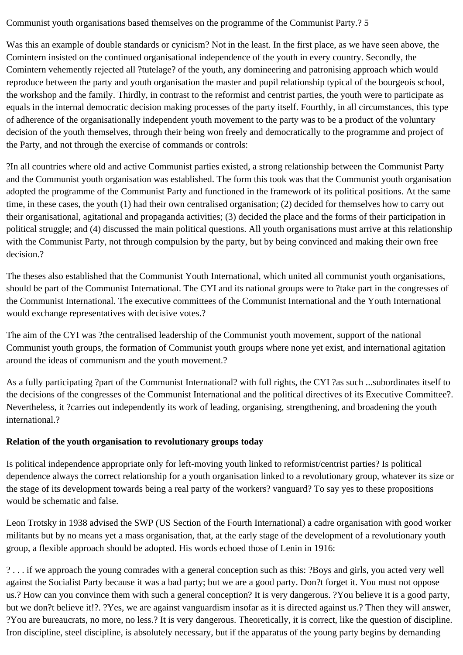Communist youth organisations based themselves on the programme of the Communist Party.? 5

Was this an example of double standards or cynicism? Not in the least. In the first place, as we have seen above, the Comintern insisted on the continued organisational independence of the youth in every country. Secondly, the Comintern vehemently rejected all ?tutelage? of the youth, any domineering and patronising approach which would reproduce between the party and youth organisation the master and pupil relationship typical of the bourgeois school, the workshop and the family. Thirdly, in contrast to the reformist and centrist parties, the youth were to participate as equals in the internal democratic decision making processes of the party itself. Fourthly, in all circumstances, this type of adherence of the organisationally independent youth movement to the party was to be a product of the voluntary decision of the youth themselves, through their being won freely and democratically to the programme and project of the Party, and not through the exercise of commands or controls:

?In all countries where old and active Communist parties existed, a strong relationship between the Communist Party and the Communist youth organisation was established. The form this took was that the Communist youth organisation adopted the programme of the Communist Party and functioned in the framework of its political positions. At the same time, in these cases, the youth (1) had their own centralised organisation; (2) decided for themselves how to carry out their organisational, agitational and propaganda activities; (3) decided the place and the forms of their participation in political struggle; and (4) discussed the main political questions. All youth organisations must arrive at this relationship with the Communist Party, not through compulsion by the party, but by being convinced and making their own free decision.?

The theses also established that the Communist Youth International, which united all communist youth organisations, should be part of the Communist International. The CYI and its national groups were to ?take part in the congresses of the Communist International. The executive committees of the Communist International and the Youth International would exchange representatives with decisive votes.?

The aim of the CYI was ?the centralised leadership of the Communist youth movement, support of the national Communist youth groups, the formation of Communist youth groups where none yet exist, and international agitation around the ideas of communism and the youth movement.?

As a fully participating ?part of the Communist International? with full rights, the CYI ?as such ...subordinates itself to the decisions of the congresses of the Communist International and the political directives of its Executive Committee?. Nevertheless, it ?carries out independently its work of leading, organising, strengthening, and broadening the youth international.?

## **Relation of the youth organisation to revolutionary groups today**

Is political independence appropriate only for left-moving youth linked to reformist/centrist parties? Is political dependence always the correct relationship for a youth organisation linked to a revolutionary group, whatever its size or the stage of its development towards being a real party of the workers? vanguard? To say yes to these propositions would be schematic and false.

Leon Trotsky in 1938 advised the SWP (US Section of the Fourth International) a cadre organisation with good worker militants but by no means yet a mass organisation, that, at the early stage of the development of a revolutionary youth group, a flexible approach should be adopted. His words echoed those of Lenin in 1916:

? . . . if we approach the young comrades with a general conception such as this: ?Boys and girls, you acted very well against the Socialist Party because it was a bad party; but we are a good party. Don?t forget it. You must not oppose us.? How can you convince them with such a general conception? It is very dangerous. ?You believe it is a good party, but we don?t believe it!?. ?Yes, we are against vanguardism insofar as it is directed against us.? Then they will answer, ?You are bureaucrats, no more, no less.? It is very dangerous. Theoretically, it is correct, like the question of discipline. Iron discipline, steel discipline, is absolutely necessary, but if the apparatus of the young party begins by demanding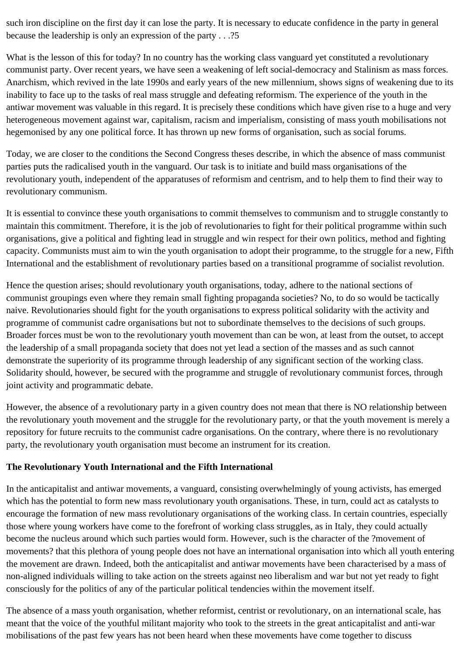such iron discipline on the first day it can lose the party. It is necessary to educate confidence in the party in general because the leadership is only an expression of the party . . .?5

What is the lesson of this for today? In no country has the working class vanguard yet constituted a revolutionary communist party. Over recent years, we have seen a weakening of left social-democracy and Stalinism as mass forces. Anarchism, which revived in the late 1990s and early years of the new millennium, shows signs of weakening due to its inability to face up to the tasks of real mass struggle and defeating reformism. The experience of the youth in the antiwar movement was valuable in this regard. It is precisely these conditions which have given rise to a huge and very heterogeneous movement against war, capitalism, racism and imperialism, consisting of mass youth mobilisations not hegemonised by any one political force. It has thrown up new forms of organisation, such as social forums.

Today, we are closer to the conditions the Second Congress theses describe, in which the absence of mass communist parties puts the radicalised youth in the vanguard. Our task is to initiate and build mass organisations of the revolutionary youth, independent of the apparatuses of reformism and centrism, and to help them to find their way to revolutionary communism.

It is essential to convince these youth organisations to commit themselves to communism and to struggle constantly to maintain this commitment. Therefore, it is the job of revolutionaries to fight for their political programme within such organisations, give a political and fighting lead in struggle and win respect for their own politics, method and fighting capacity. Communists must aim to win the youth organisation to adopt their programme, to the struggle for a new, Fifth International and the establishment of revolutionary parties based on a transitional programme of socialist revolution.

Hence the question arises; should revolutionary youth organisations, today, adhere to the national sections of communist groupings even where they remain small fighting propaganda societies? No, to do so would be tactically naive. Revolutionaries should fight for the youth organisations to express political solidarity with the activity and programme of communist cadre organisations but not to subordinate themselves to the decisions of such groups. Broader forces must be won to the revolutionary youth movement than can be won, at least from the outset, to accept the leadership of a small propaganda society that does not yet lead a section of the masses and as such cannot demonstrate the superiority of its programme through leadership of any significant section of the working class. Solidarity should, however, be secured with the programme and struggle of revolutionary communist forces, through joint activity and programmatic debate.

However, the absence of a revolutionary party in a given country does not mean that there is NO relationship between the revolutionary youth movement and the struggle for the revolutionary party, or that the youth movement is merely a repository for future recruits to the communist cadre organisations. On the contrary, where there is no revolutionary party, the revolutionary youth organisation must become an instrument for its creation.

## **The Revolutionary Youth International and the Fifth International**

In the anticapitalist and antiwar movements, a vanguard, consisting overwhelmingly of young activists, has emerged which has the potential to form new mass revolutionary youth organisations. These, in turn, could act as catalysts to encourage the formation of new mass revolutionary organisations of the working class. In certain countries, especially those where young workers have come to the forefront of working class struggles, as in Italy, they could actually become the nucleus around which such parties would form. However, such is the character of the ?movement of movements? that this plethora of young people does not have an international organisation into which all youth entering the movement are drawn. Indeed, both the anticapitalist and antiwar movements have been characterised by a mass of non-aligned individuals willing to take action on the streets against neo liberalism and war but not yet ready to fight consciously for the politics of any of the particular political tendencies within the movement itself.

The absence of a mass youth organisation, whether reformist, centrist or revolutionary, on an international scale, has meant that the voice of the youthful militant majority who took to the streets in the great anticapitalist and anti-war mobilisations of the past few years has not been heard when these movements have come together to discuss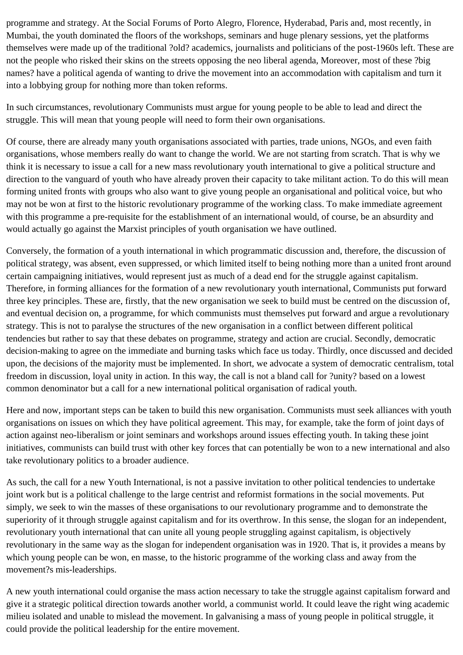programme and strategy. At the Social Forums of Porto Alegro, Florence, Hyderabad, Paris and, most recently, in Mumbai, the youth dominated the floors of the workshops, seminars and huge plenary sessions, yet the platforms themselves were made up of the traditional ?old? academics, journalists and politicians of the post-1960s left. These are not the people who risked their skins on the streets opposing the neo liberal agenda, Moreover, most of these ?big names? have a political agenda of wanting to drive the movement into an accommodation with capitalism and turn it into a lobbying group for nothing more than token reforms.

In such circumstances, revolutionary Communists must argue for young people to be able to lead and direct the struggle. This will mean that young people will need to form their own organisations.

Of course, there are already many youth organisations associated with parties, trade unions, NGOs, and even faith organisations, whose members really do want to change the world. We are not starting from scratch. That is why we think it is necessary to issue a call for a new mass revolutionary youth international to give a political structure and direction to the vanguard of youth who have already proven their capacity to take militant action. To do this will mean forming united fronts with groups who also want to give young people an organisational and political voice, but who may not be won at first to the historic revolutionary programme of the working class. To make immediate agreement with this programme a pre-requisite for the establishment of an international would, of course, be an absurdity and would actually go against the Marxist principles of youth organisation we have outlined.

Conversely, the formation of a youth international in which programmatic discussion and, therefore, the discussion of political strategy, was absent, even suppressed, or which limited itself to being nothing more than a united front around certain campaigning initiatives, would represent just as much of a dead end for the struggle against capitalism. Therefore, in forming alliances for the formation of a new revolutionary youth international, Communists put forward three key principles. These are, firstly, that the new organisation we seek to build must be centred on the discussion of, and eventual decision on, a programme, for which communists must themselves put forward and argue a revolutionary strategy. This is not to paralyse the structures of the new organisation in a conflict between different political tendencies but rather to say that these debates on programme, strategy and action are crucial. Secondly, democratic decision-making to agree on the immediate and burning tasks which face us today. Thirdly, once discussed and decided upon, the decisions of the majority must be implemented. In short, we advocate a system of democratic centralism, total freedom in discussion, loyal unity in action. In this way, the call is not a bland call for ?unity? based on a lowest common denominator but a call for a new international political organisation of radical youth.

Here and now, important steps can be taken to build this new organisation. Communists must seek alliances with youth organisations on issues on which they have political agreement. This may, for example, take the form of joint days of action against neo-liberalism or joint seminars and workshops around issues effecting youth. In taking these joint initiatives, communists can build trust with other key forces that can potentially be won to a new international and also take revolutionary politics to a broader audience.

As such, the call for a new Youth International, is not a passive invitation to other political tendencies to undertake joint work but is a political challenge to the large centrist and reformist formations in the social movements. Put simply, we seek to win the masses of these organisations to our revolutionary programme and to demonstrate the superiority of it through struggle against capitalism and for its overthrow. In this sense, the slogan for an independent, revolutionary youth international that can unite all young people struggling against capitalism, is objectively revolutionary in the same way as the slogan for independent organisation was in 1920. That is, it provides a means by which young people can be won, en masse, to the historic programme of the working class and away from the movement?s mis-leaderships.

A new youth international could organise the mass action necessary to take the struggle against capitalism forward and give it a strategic political direction towards another world, a communist world. It could leave the right wing academic milieu isolated and unable to mislead the movement. In galvanising a mass of young people in political struggle, it could provide the political leadership for the entire movement.